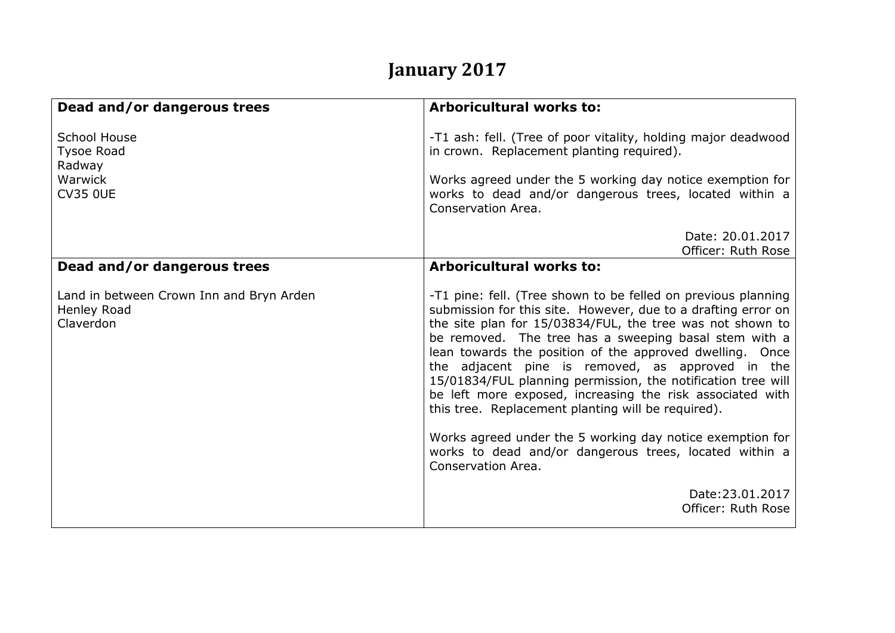## **January 2017**

| Dead and/or dangerous trees                                                      | <b>Arboricultural works to:</b>                                                                                                                                                                                                                                                                                                                                                                                                                                                                                                                         |
|----------------------------------------------------------------------------------|---------------------------------------------------------------------------------------------------------------------------------------------------------------------------------------------------------------------------------------------------------------------------------------------------------------------------------------------------------------------------------------------------------------------------------------------------------------------------------------------------------------------------------------------------------|
| <b>School House</b><br><b>Tysoe Road</b><br>Radway<br>Warwick<br><b>CV35 0UE</b> | -T1 ash: fell. (Tree of poor vitality, holding major deadwood<br>in crown. Replacement planting required).<br>Works agreed under the 5 working day notice exemption for<br>works to dead and/or dangerous trees, located within a<br>Conservation Area.                                                                                                                                                                                                                                                                                                 |
|                                                                                  | Date: 20.01.2017<br>Officer: Ruth Rose                                                                                                                                                                                                                                                                                                                                                                                                                                                                                                                  |
| Dead and/or dangerous trees                                                      | <b>Arboricultural works to:</b>                                                                                                                                                                                                                                                                                                                                                                                                                                                                                                                         |
| Land in between Crown Inn and Bryn Arden<br>Henley Road<br>Claverdon             | -T1 pine: fell. (Tree shown to be felled on previous planning<br>submission for this site. However, due to a drafting error on<br>the site plan for 15/03834/FUL, the tree was not shown to<br>be removed. The tree has a sweeping basal stem with a<br>lean towards the position of the approved dwelling. Once<br>the adjacent pine is removed, as approved in the<br>15/01834/FUL planning permission, the notification tree will<br>be left more exposed, increasing the risk associated with<br>this tree. Replacement planting will be required). |
|                                                                                  | Works agreed under the 5 working day notice exemption for<br>works to dead and/or dangerous trees, located within a<br>Conservation Area.                                                                                                                                                                                                                                                                                                                                                                                                               |
|                                                                                  | Date: 23.01.2017<br>Officer: Ruth Rose                                                                                                                                                                                                                                                                                                                                                                                                                                                                                                                  |